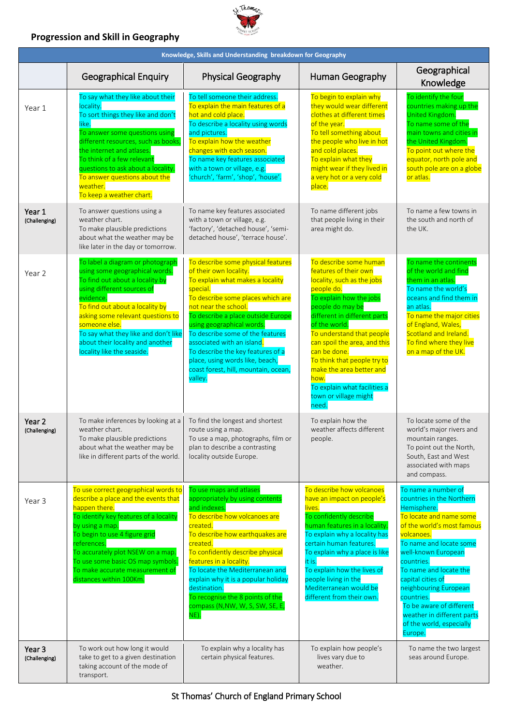# **Progression and Skill in Geography**



| Knowledge, Skills and Understanding breakdown for Geography |                                                                                                                                                                                                                                                                                                                                                     |                                                                                                                                                                                                                                                                                                                                                                                                                                           |                                                                                                                                                                                                                                                                                                                                                                                                               |                                                                                                                                                                                                                                                                                                                                                                                               |  |  |
|-------------------------------------------------------------|-----------------------------------------------------------------------------------------------------------------------------------------------------------------------------------------------------------------------------------------------------------------------------------------------------------------------------------------------------|-------------------------------------------------------------------------------------------------------------------------------------------------------------------------------------------------------------------------------------------------------------------------------------------------------------------------------------------------------------------------------------------------------------------------------------------|---------------------------------------------------------------------------------------------------------------------------------------------------------------------------------------------------------------------------------------------------------------------------------------------------------------------------------------------------------------------------------------------------------------|-----------------------------------------------------------------------------------------------------------------------------------------------------------------------------------------------------------------------------------------------------------------------------------------------------------------------------------------------------------------------------------------------|--|--|
|                                                             | <b>Geographical Enquiry</b>                                                                                                                                                                                                                                                                                                                         | Physical Geography                                                                                                                                                                                                                                                                                                                                                                                                                        | Human Geography                                                                                                                                                                                                                                                                                                                                                                                               | Geographical<br>Knowledge                                                                                                                                                                                                                                                                                                                                                                     |  |  |
| Year 1                                                      | To say what they like about their<br>locality.<br>To sort things they like and don't<br>like.<br>To answer some questions using<br>different resources, such as books,<br>the internet and atlases.<br>To think of a few relevant<br>questions to ask about a locality.<br>To answer questions about the<br>weather.<br>To keep a weather chart.    | To tell someone their address.<br>To explain the main features of a<br>hot and cold place.<br>To describe a locality using words<br>and pictures.<br>To explain how the weather<br>changes with each season.<br>To name key features associated<br>with a town or village, e.g.<br>'church', 'farm', 'shop', 'house'.                                                                                                                     | To begin to explain why<br>they would wear different<br>clothes at different times<br>of the year.<br>To tell something about<br>the people who live in hot<br>and cold places.<br>To explain what they<br>might wear if they lived in<br>a very hot or a very cold<br>place.                                                                                                                                 | To identify the four<br>countries making up the<br>United Kingdom.<br>To name some of the<br>main towns and cities in<br>the United Kingdom.<br>To point out where the<br>equator, north pole and<br>south pole are on a globe<br><mark>or atlas.</mark>                                                                                                                                      |  |  |
| Year 1<br>(Challenging)                                     | To answer questions using a<br>weather chart.<br>To make plausible predictions<br>about what the weather may be<br>like later in the day or tomorrow.                                                                                                                                                                                               | To name key features associated<br>with a town or village, e.g.<br>'factory', 'detached house', 'semi-<br>detached house', 'terrace house'.                                                                                                                                                                                                                                                                                               | To name different jobs<br>that people living in their<br>area might do.                                                                                                                                                                                                                                                                                                                                       | To name a few towns in<br>the south and north of<br>the UK.                                                                                                                                                                                                                                                                                                                                   |  |  |
| Year 2                                                      | To label a diagram or photograph<br>using some geographical words.<br>To find out about a locality by<br>using different sources of<br>evidence.<br>To find out about a locality by<br>asking some relevant questions to<br>someone else.<br>To say what they like and don't like<br>about their locality and another<br>locality like the seaside. | To describe some physical features<br>of their own locality.<br>To explain what makes a locality<br>special.<br>To describe some places which are<br>not near the school.<br>To describe a place outside Europe<br>using geographical words.<br>To describe some of the features<br>associated with an island.<br>To describe the key features of a<br>place, using words like, beach,<br>coast forest, hill, mountain, ocean,<br>valley. | To describe some human<br>features of their own<br>locality, such as the jobs<br>people do.<br>To explain how the jobs<br>people do may be<br>different in different parts<br>of the world.<br>To understand that people<br>can spoil the area, and this<br>can be done.<br>To think that people try to<br>make the area better and<br>how.<br>To explain what facilities a<br>town or village might<br>need. | To name the continents<br>of the world and find<br>them in an atlas.<br>To name the world's<br>oceans and find them in<br>an atlas.<br>To name the major cities<br>of England, Wales,<br>Scotland and Ireland.<br>To find where they live<br>on a map of the UK.                                                                                                                              |  |  |
| Year 2<br>(Challenging)                                     | To make inferences by looking at a<br>weather chart.<br>To make plausible predictions<br>about what the weather may be<br>like in different parts of the world.                                                                                                                                                                                     | To find the longest and shortest<br>route using a map.<br>To use a map, photographs, film or<br>plan to describe a contrasting<br>locality outside Europe.                                                                                                                                                                                                                                                                                | To explain how the<br>weather affects different<br>people.                                                                                                                                                                                                                                                                                                                                                    | To locate some of the<br>world's major rivers and<br>mountain ranges.<br>To point out the North,<br>South, East and West<br>associated with maps<br>and compass.                                                                                                                                                                                                                              |  |  |
| Year 3                                                      | To use correct geographical words to<br>describe a place and the events that<br>happen there.<br>To identify key features of a locality<br>by using a map.<br>To begin to use 4 figure grid<br>references.<br>To accurately plot NSEW on a map.<br>To use some basic OS map symbols.<br>To make accurate measurement of<br>distances within 100Km.  | To use maps and atlases<br>appropriately by using contents<br>and indexes.<br>To describe how volcanoes are<br>created.<br>To describe how earthquakes are<br>created.<br>To confidently describe physical<br>features in a locality.<br>To locate the Mediterranean and<br>explain why it is a popular holiday<br>destination.<br>To recognise the 8 points of the<br>compass (N,NW, W, S, SW, SE, E,<br>NE).                            | To describe how volcanoes<br>have an impact on people's<br>lives.<br>To confidently describe<br>human features in a locality.<br>To explain why a locality has<br>certain human features.<br>To explain why a place is like<br>it is.<br>To explain how the lives of<br>people living in the<br>Mediterranean would be<br>different from their own.                                                           | To name a number of<br>countries in the Northern<br>Hemisphere.<br>To locate and name some<br>of the world's most famous<br>volcanoes.<br>To name and locate some<br>well-known European<br>countries.<br>To name and locate the<br>capital cities of<br>neighbouring European<br>countries.<br>To be aware of different<br>weather in different parts<br>of the world, especially<br>Europe. |  |  |
| Year 3<br>(Challenging)                                     | To work out how long it would<br>take to get to a given destination<br>taking account of the mode of<br>transport.                                                                                                                                                                                                                                  | To explain why a locality has<br>certain physical features.                                                                                                                                                                                                                                                                                                                                                                               | To explain how people's<br>lives vary due to<br>weather.                                                                                                                                                                                                                                                                                                                                                      | To name the two largest<br>seas around Europe.                                                                                                                                                                                                                                                                                                                                                |  |  |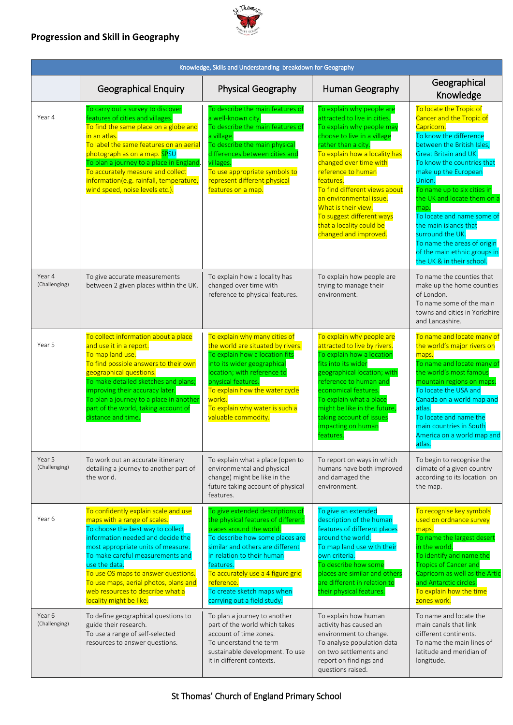# **Progression and Skill in Geography**



| Knowledge, Skills and Understanding breakdown for Geography |                                                                                                                                                                                                                                                                                                                                                                                          |                                                                                                                                                                                                                                                                                                                                      |                                                                                                                                                                                                                                                                                                                                                                                                                 |                                                                                                                                                                                                                                                                                                                                                                                                                                                                        |  |  |  |
|-------------------------------------------------------------|------------------------------------------------------------------------------------------------------------------------------------------------------------------------------------------------------------------------------------------------------------------------------------------------------------------------------------------------------------------------------------------|--------------------------------------------------------------------------------------------------------------------------------------------------------------------------------------------------------------------------------------------------------------------------------------------------------------------------------------|-----------------------------------------------------------------------------------------------------------------------------------------------------------------------------------------------------------------------------------------------------------------------------------------------------------------------------------------------------------------------------------------------------------------|------------------------------------------------------------------------------------------------------------------------------------------------------------------------------------------------------------------------------------------------------------------------------------------------------------------------------------------------------------------------------------------------------------------------------------------------------------------------|--|--|--|
|                                                             | <b>Geographical Enquiry</b>                                                                                                                                                                                                                                                                                                                                                              | Physical Geography                                                                                                                                                                                                                                                                                                                   | Human Geography                                                                                                                                                                                                                                                                                                                                                                                                 | Geographical<br>Knowledge                                                                                                                                                                                                                                                                                                                                                                                                                                              |  |  |  |
| Year 4                                                      | To carry out a survey to discover<br>features of cities and villages.<br>To find the same place on a globe and<br>in an atlas.<br>To label the same features on an aerial<br>photograph as on a map. SPSU<br>To plan a journey to a place in England<br>To accurately measure and collect<br>information(e.g. rainfall, temperature,<br>wind speed, noise levels etc.).                  | To describe the main features of<br>a well-known city.<br>To describe the main features of<br>a village.<br>To describe the main physical<br>differences between cities and<br>villages.<br>To use appropriate symbols to<br>represent different physical<br>features on a map.                                                      | To explain why people are<br>attracted to live in cities.<br>To explain why people may<br>choose to live in a village<br>rather than a city.<br>To explain how a locality has<br>changed over time with<br>reference to human<br>features.<br>To find different views about<br>an environmental issue.<br>What is their view.<br>To suggest different ways<br>that a locality could be<br>changed and improved. | To locate the Tropic of<br>Cancer and the Tropic of<br>Capricorn.<br>To know the difference<br>between the British Isles,<br><b>Great Britain and UK.</b><br>To know the countries that<br>make up the European<br>Union.<br>To name up to six cities in<br>the UK and locate them on a<br>map.<br>To locate and name some of<br>the main islands that<br>surround the UK.<br>To name the areas of origin<br>of the main ethnic groups in<br>the UK & in their school. |  |  |  |
| Year 4<br>(Challenging)                                     | To give accurate measurements<br>between 2 given places within the UK.                                                                                                                                                                                                                                                                                                                   | To explain how a locality has<br>changed over time with<br>reference to physical features.                                                                                                                                                                                                                                           | To explain how people are<br>trying to manage their<br>environment.                                                                                                                                                                                                                                                                                                                                             | To name the counties that<br>make up the home counties<br>of London.<br>To name some of the main<br>towns and cities in Yorkshire<br>and Lancashire.                                                                                                                                                                                                                                                                                                                   |  |  |  |
| Year 5                                                      | To collect information about a place<br>and use it in a report.<br>To map land use.<br>To find possible answers to their own<br>geographical questions.<br>To make detailed sketches and plans;<br>improving their accuracy later.<br>To plan a journey to a place in another<br>part of the world, taking account of<br>distance and time.                                              | To explain why many cities of<br>the world are situated by rivers.<br>To explain how a location fits<br>into its wider geographical<br>location; with reference to<br>physical features.<br>To explain how the water cycle<br>works.<br>To explain why water is such a<br>valuable commodity.                                        | To explain why people are<br>attracted to live by rivers.<br>To explain how a location<br>fits into its wider<br>geographical location; with<br>reference to human and<br>economical features.<br>To explain what a place<br>might be like in the future,<br>taking account of issues<br>impacting on human<br>features.                                                                                        | To name and locate many of<br>the world's major rivers on<br>maps.<br>To name and locate many of<br>the world's most famous<br>mountain regions on maps.<br>To locate the USA and<br>Canada on a world map and<br>atlas.<br>To locate and name the<br>main countries in South<br>America on a world map and<br>atlas.                                                                                                                                                  |  |  |  |
| Year 5<br>(Challenging)                                     | To work out an accurate itinerary<br>detailing a journey to another part of<br>the world.                                                                                                                                                                                                                                                                                                | To explain what a place (open to<br>environmental and physical<br>change) might be like in the<br>future taking account of physical<br>features.                                                                                                                                                                                     | To report on ways in which<br>humans have both improved<br>and damaged the<br>environment.                                                                                                                                                                                                                                                                                                                      | To begin to recognise the<br>climate of a given country<br>according to its location on<br>the map.                                                                                                                                                                                                                                                                                                                                                                    |  |  |  |
| Year 6                                                      | To confidently explain scale and use<br>maps with a range of scales.<br>To choose the best way to collect<br>information needed and decide the<br>most appropriate units of measure.<br>To make careful measurements and<br>use the data.<br>To use OS maps to answer questions.<br>To use maps, aerial photos, plans and<br>web resources to describe what a<br>locality might be like. | To give extended descriptions of<br>the physical features of different<br>places around the world.<br>To describe how some places are<br>similar and others are different<br>in relation to their human<br>features.<br>To accurately use a 4 figure grid<br>reference.<br>To create sketch maps when<br>carrying out a field study. | To give an extended<br>description of the human<br>features of different places<br>around the world.<br>To map land use with their<br>own criteria.<br>To describe how some<br>places are similar and others<br>are different in relation to<br>their physical features.                                                                                                                                        | To recognise key symbols<br>used on ordnance survey<br>maps.<br>To name the largest desert<br>in the world.<br>To identify and name the<br><b>Tropics of Cancer and</b><br>Capricorn as well as the Artic<br>and Antarctic circles.<br>To explain how the time<br>zones work.                                                                                                                                                                                          |  |  |  |
| Year 6<br>(Challenging)                                     | To define geographical questions to<br>guide their research.<br>To use a range of self-selected<br>resources to answer questions.                                                                                                                                                                                                                                                        | To plan a journey to another<br>part of the world which takes<br>account of time zones.<br>To understand the term<br>sustainable development. To use<br>it in different contexts.                                                                                                                                                    | To explain how human<br>activity has caused an<br>environment to change.<br>To analyse population data<br>on two settlements and<br>report on findings and<br>questions raised.                                                                                                                                                                                                                                 | To name and locate the<br>main canals that link<br>different continents.<br>To name the main lines of<br>latitude and meridian of<br>longitude.                                                                                                                                                                                                                                                                                                                        |  |  |  |